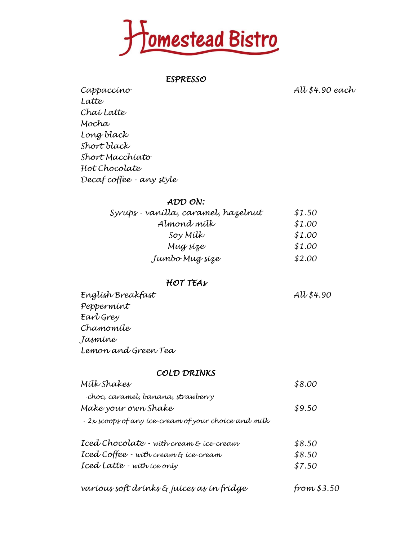

*ESPRESSO*

*Cappaccino All \$4.90 each*

*Latte Chai Latte Mocha Long black Short black Short Macchiato Hot Chocolate Decaf coffee - any style*

## *ADD ON:*

| Syrups - vanílla, caramel, hazelnut | \$1.50 |  |
|-------------------------------------|--------|--|
| Almond mílk                         | \$1.00 |  |
| Soy Mílk                            | \$1.00 |  |
| Mug síze                            | \$1.00 |  |
| Jumbo Mug size                      | \$2.00 |  |

### *HOT TEAs*

*English Breakfast All \$4.90 Peppermint Earl Grey Chamomile Jasmine Lemon and Green Tea*

### *COLD DRINKS*

| varíous soft drínks & juíces as ín frídge            | from \$3.50 |
|------------------------------------------------------|-------------|
| Iced Latte - with ice only                           | \$7.50      |
| Iced Coffee - with cream & ice-cream                 | \$8.50      |
| Iced Chocolate - with cream & ice-cream              | \$8.50      |
| - 2x scoops of any ice-cream of your choice and milk |             |
| Make your own Shake                                  | \$9.50      |
| -choc, caramel, banana, strawberry                   |             |
| Mílk Shakes                                          | \$8.00      |